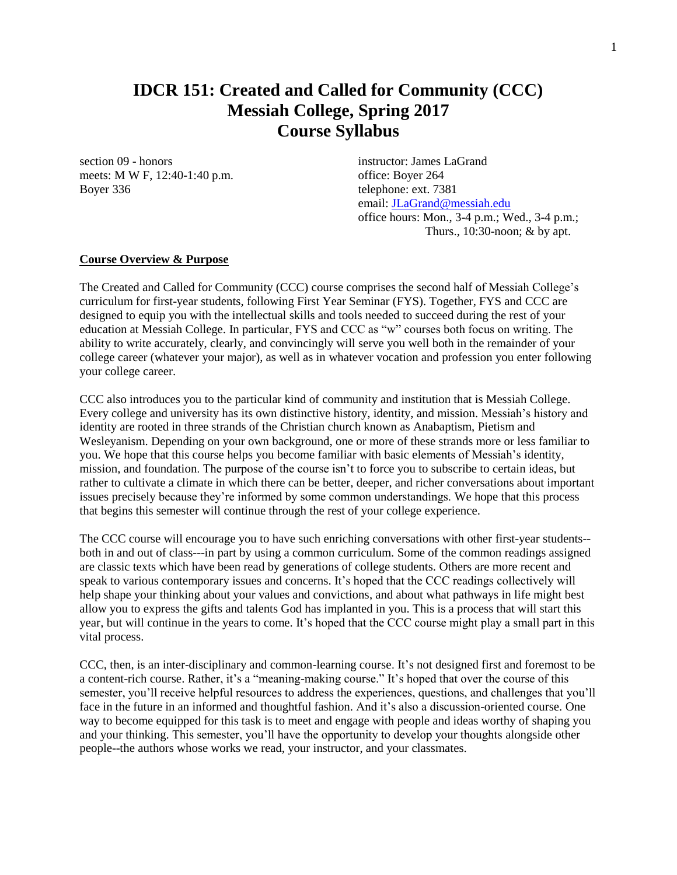## **IDCR 151: Created and Called for Community (CCC) Messiah College, Spring 2017 Course Syllabus**

section 09 - honors instructor: James LaGrand meets: M W F, 12:40-1:40 p.m. office: Boyer 264 Boyer 336 telephone: ext. 7381

email: [JLaGrand@messiah.edu](mailto:JLaGrand@messiah.edu) office hours: Mon., 3-4 p.m.; Wed., 3-4 p.m.; Thurs., 10:30-noon; & by apt.

#### **Course Overview & Purpose**

The Created and Called for Community (CCC) course comprises the second half of Messiah College's curriculum for first-year students, following First Year Seminar (FYS). Together, FYS and CCC are designed to equip you with the intellectual skills and tools needed to succeed during the rest of your education at Messiah College. In particular, FYS and CCC as "w" courses both focus on writing. The ability to write accurately, clearly, and convincingly will serve you well both in the remainder of your college career (whatever your major), as well as in whatever vocation and profession you enter following your college career.

CCC also introduces you to the particular kind of community and institution that is Messiah College. Every college and university has its own distinctive history, identity, and mission. Messiah's history and identity are rooted in three strands of the Christian church known as Anabaptism, Pietism and Wesleyanism. Depending on your own background, one or more of these strands more or less familiar to you. We hope that this course helps you become familiar with basic elements of Messiah's identity, mission, and foundation. The purpose of the course isn't to force you to subscribe to certain ideas, but rather to cultivate a climate in which there can be better, deeper, and richer conversations about important issues precisely because they're informed by some common understandings. We hope that this process that begins this semester will continue through the rest of your college experience.

The CCC course will encourage you to have such enriching conversations with other first-year students- both in and out of class---in part by using a common curriculum. Some of the common readings assigned are classic texts which have been read by generations of college students. Others are more recent and speak to various contemporary issues and concerns. It's hoped that the CCC readings collectively will help shape your thinking about your values and convictions, and about what pathways in life might best allow you to express the gifts and talents God has implanted in you. This is a process that will start this year, but will continue in the years to come. It's hoped that the CCC course might play a small part in this vital process.

CCC, then, is an inter-disciplinary and common-learning course. It's not designed first and foremost to be a content-rich course. Rather, it's a "meaning-making course." It's hoped that over the course of this semester, you'll receive helpful resources to address the experiences, questions, and challenges that you'll face in the future in an informed and thoughtful fashion. And it's also a discussion-oriented course. One way to become equipped for this task is to meet and engage with people and ideas worthy of shaping you and your thinking. This semester, you'll have the opportunity to develop your thoughts alongside other people--the authors whose works we read, your instructor, and your classmates.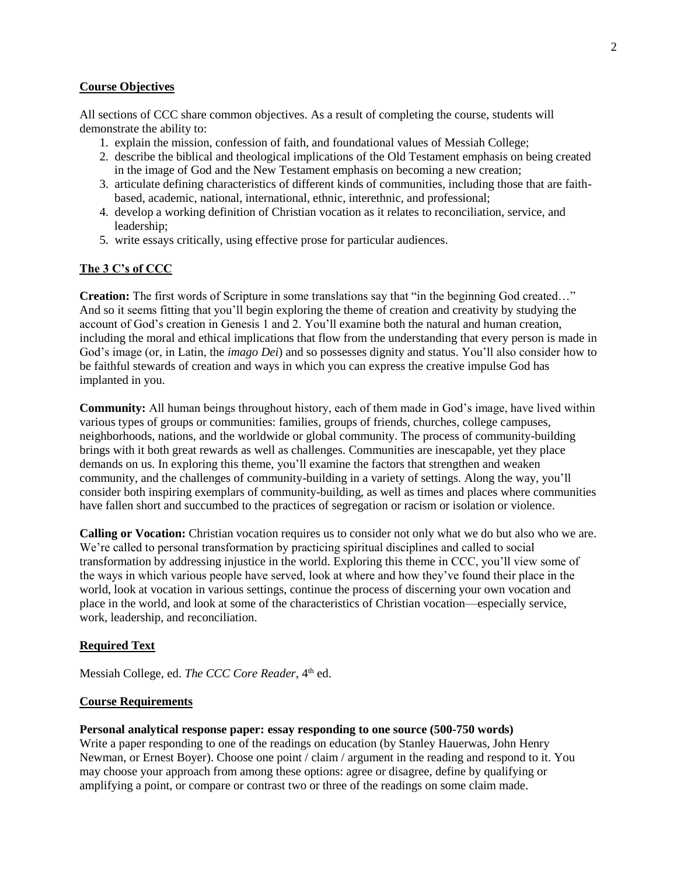#### **Course Objectives**

All sections of CCC share common objectives. As a result of completing the course, students will demonstrate the ability to:

- 1. explain the mission, confession of faith, and foundational values of Messiah College;
- 2. describe the biblical and theological implications of the Old Testament emphasis on being created in the image of God and the New Testament emphasis on becoming a new creation;
- 3. articulate defining characteristics of different kinds of communities, including those that are faithbased, academic, national, international, ethnic, interethnic, and professional;
- 4. develop a working definition of Christian vocation as it relates to reconciliation, service, and leadership;
- 5. write essays critically, using effective prose for particular audiences.

#### **The 3 C's of CCC**

**Creation:** The first words of Scripture in some translations say that "in the beginning God created..." And so it seems fitting that you'll begin exploring the theme of creation and creativity by studying the account of God's creation in Genesis 1 and 2. You'll examine both the natural and human creation, including the moral and ethical implications that flow from the understanding that every person is made in God's image (or, in Latin, the *imago Dei*) and so possesses dignity and status. You'll also consider how to be faithful stewards of creation and ways in which you can express the creative impulse God has implanted in you.

**Community:** All human beings throughout history, each of them made in God's image, have lived within various types of groups or communities: families, groups of friends, churches, college campuses, neighborhoods, nations, and the worldwide or global community. The process of community-building brings with it both great rewards as well as challenges. Communities are inescapable, yet they place demands on us. In exploring this theme, you'll examine the factors that strengthen and weaken community, and the challenges of community-building in a variety of settings. Along the way, you'll consider both inspiring exemplars of community-building, as well as times and places where communities have fallen short and succumbed to the practices of segregation or racism or isolation or violence.

**Calling or Vocation:** Christian vocation requires us to consider not only what we do but also who we are. We're called to personal transformation by practicing spiritual disciplines and called to social transformation by addressing injustice in the world. Exploring this theme in CCC, you'll view some of the ways in which various people have served, look at where and how they've found their place in the world, look at vocation in various settings, continue the process of discerning your own vocation and place in the world, and look at some of the characteristics of Christian vocation—especially service, work, leadership, and reconciliation.

#### **Required Text**

Messiah College, ed. The CCC Core Reader, 4<sup>th</sup> ed.

#### **Course Requirements**

#### **Personal analytical response paper: essay responding to one source (500-750 words)**

Write a paper responding to one of the readings on education (by Stanley Hauerwas, John Henry Newman, or Ernest Boyer). Choose one point / claim / argument in the reading and respond to it. You may choose your approach from among these options: agree or disagree, define by qualifying or amplifying a point, or compare or contrast two or three of the readings on some claim made.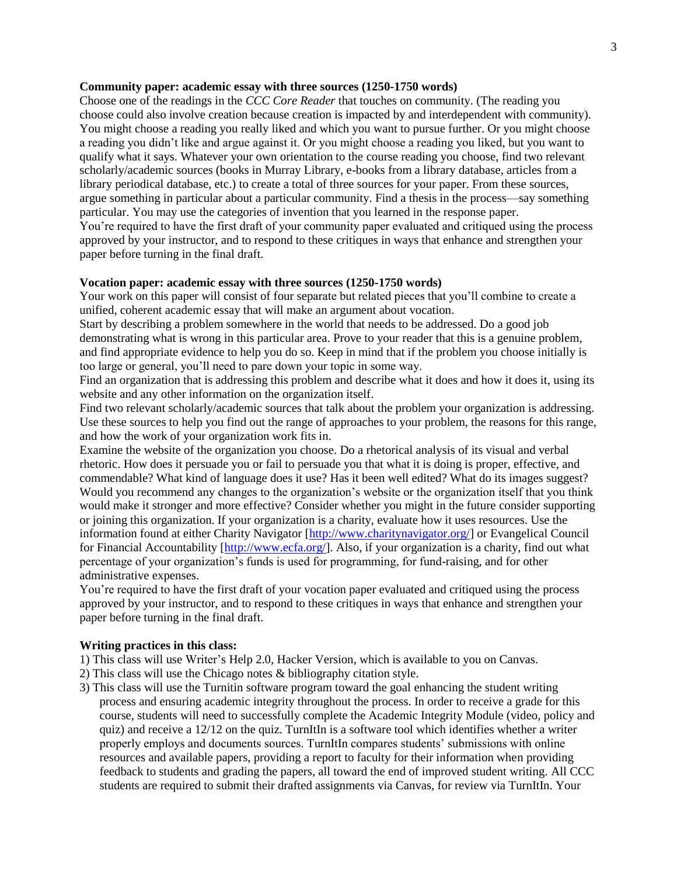#### **Community paper: academic essay with three sources (1250-1750 words)**

Choose one of the readings in the *CCC Core Reader* that touches on community. (The reading you choose could also involve creation because creation is impacted by and interdependent with community). You might choose a reading you really liked and which you want to pursue further. Or you might choose a reading you didn't like and argue against it. Or you might choose a reading you liked, but you want to qualify what it says. Whatever your own orientation to the course reading you choose, find two relevant scholarly/academic sources (books in Murray Library, e-books from a library database, articles from a library periodical database, etc.) to create a total of three sources for your paper. From these sources, argue something in particular about a particular community. Find a thesis in the process—say something particular. You may use the categories of invention that you learned in the response paper.

You're required to have the first draft of your community paper evaluated and critiqued using the process approved by your instructor, and to respond to these critiques in ways that enhance and strengthen your paper before turning in the final draft.

#### **Vocation paper: academic essay with three sources (1250-1750 words)**

Your work on this paper will consist of four separate but related pieces that you'll combine to create a unified, coherent academic essay that will make an argument about vocation.

Start by describing a problem somewhere in the world that needs to be addressed. Do a good job demonstrating what is wrong in this particular area. Prove to your reader that this is a genuine problem, and find appropriate evidence to help you do so. Keep in mind that if the problem you choose initially is too large or general, you'll need to pare down your topic in some way.

Find an organization that is addressing this problem and describe what it does and how it does it, using its website and any other information on the organization itself.

Find two relevant scholarly/academic sources that talk about the problem your organization is addressing. Use these sources to help you find out the range of approaches to your problem, the reasons for this range, and how the work of your organization work fits in.

Examine the website of the organization you choose. Do a rhetorical analysis of its visual and verbal rhetoric. How does it persuade you or fail to persuade you that what it is doing is proper, effective, and commendable? What kind of language does it use? Has it been well edited? What do its images suggest? Would you recommend any changes to the organization's website or the organization itself that you think would make it stronger and more effective? Consider whether you might in the future consider supporting or joining this organization. If your organization is a charity, evaluate how it uses resources. Use the information found at either Charity Navigator [\[http://www.charitynavigator.org/\]](http://www.charitynavigator.org/) or Evangelical Council for Financial Accountability [\[http://www.ecfa.org/\]](http://www.ecfa.org/). Also, if your organization is a charity, find out what percentage of your organization's funds is used for programming, for fund-raising, and for other administrative expenses.

You're required to have the first draft of your vocation paper evaluated and critiqued using the process approved by your instructor, and to respond to these critiques in ways that enhance and strengthen your paper before turning in the final draft.

#### **Writing practices in this class:**

1) This class will use Writer's Help 2.0, Hacker Version, which is available to you on Canvas.

- 2) This class will use the Chicago notes & bibliography citation style.
- 3) This class will use the Turnitin software program toward the goal enhancing the student writing process and ensuring academic integrity throughout the process. In order to receive a grade for this course, students will need to successfully complete the Academic Integrity Module (video, policy and quiz) and receive a 12/12 on the quiz. TurnItIn is a software tool which identifies whether a writer properly employs and documents sources. TurnItIn compares students' submissions with online resources and available papers, providing a report to faculty for their information when providing feedback to students and grading the papers, all toward the end of improved student writing. All CCC students are required to submit their drafted assignments via Canvas, for review via TurnItIn. Your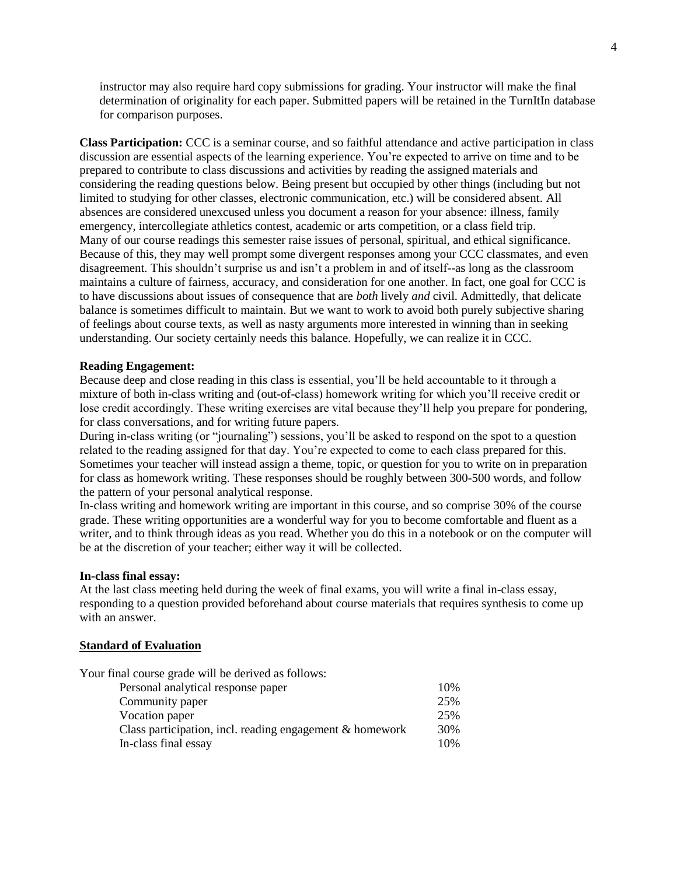instructor may also require hard copy submissions for grading. Your instructor will make the final determination of originality for each paper. Submitted papers will be retained in the TurnItIn database for comparison purposes.

**Class Participation:** CCC is a seminar course, and so faithful attendance and active participation in class discussion are essential aspects of the learning experience. You're expected to arrive on time and to be prepared to contribute to class discussions and activities by reading the assigned materials and considering the reading questions below. Being present but occupied by other things (including but not limited to studying for other classes, electronic communication, etc.) will be considered absent. All absences are considered unexcused unless you document a reason for your absence: illness, family emergency, intercollegiate athletics contest, academic or arts competition, or a class field trip. Many of our course readings this semester raise issues of personal, spiritual, and ethical significance. Because of this, they may well prompt some divergent responses among your CCC classmates, and even disagreement. This shouldn't surprise us and isn't a problem in and of itself--as long as the classroom maintains a culture of fairness, accuracy, and consideration for one another. In fact, one goal for CCC is to have discussions about issues of consequence that are *both* lively *and* civil. Admittedly, that delicate balance is sometimes difficult to maintain. But we want to work to avoid both purely subjective sharing of feelings about course texts, as well as nasty arguments more interested in winning than in seeking understanding. Our society certainly needs this balance. Hopefully, we can realize it in CCC.

#### **Reading Engagement:**

Because deep and close reading in this class is essential, you'll be held accountable to it through a mixture of both in-class writing and (out-of-class) homework writing for which you'll receive credit or lose credit accordingly. These writing exercises are vital because they'll help you prepare for pondering, for class conversations, and for writing future papers.

During in-class writing (or "journaling") sessions, you'll be asked to respond on the spot to a question related to the reading assigned for that day. You're expected to come to each class prepared for this. Sometimes your teacher will instead assign a theme, topic, or question for you to write on in preparation for class as homework writing. These responses should be roughly between 300-500 words, and follow the pattern of your personal analytical response.

In-class writing and homework writing are important in this course, and so comprise 30% of the course grade. These writing opportunities are a wonderful way for you to become comfortable and fluent as a writer, and to think through ideas as you read. Whether you do this in a notebook or on the computer will be at the discretion of your teacher; either way it will be collected.

#### **In-class final essay:**

At the last class meeting held during the week of final exams, you will write a final in-class essay, responding to a question provided beforehand about course materials that requires synthesis to come up with an answer.

#### **Standard of Evaluation**

| Your final course grade will be derived as follows:      |     |
|----------------------------------------------------------|-----|
| Personal analytical response paper                       | 10% |
| Community paper                                          | 25% |
| Vocation paper                                           | 25% |
| Class participation, incl. reading engagement & homework | 30% |
| In-class final essay                                     | 10% |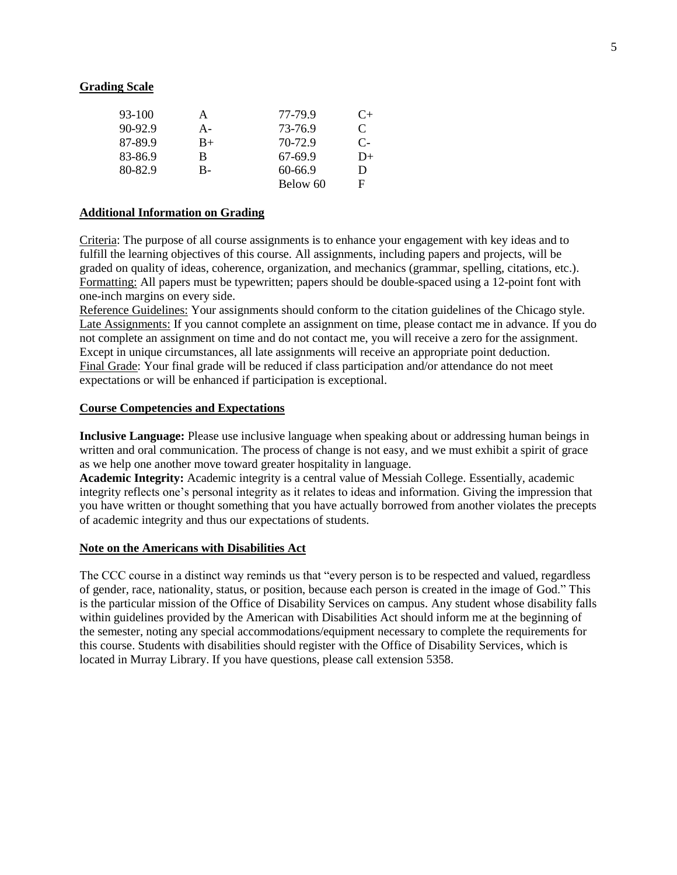#### **Grading Scale**

| 93-100    | A    | 77-79.9     | $C+$ |
|-----------|------|-------------|------|
| $90-92.9$ | A-   | 73-76.9     | C    |
| 87-89.9   | $B+$ | 70-72.9     | $C-$ |
| 83-86.9   | B    | 67-69.9     | $D+$ |
| 80-82.9   | B-   | $60 - 66.9$ | Ð    |
|           |      | Below 60    | F    |

#### **Additional Information on Grading**

Criteria: The purpose of all course assignments is to enhance your engagement with key ideas and to fulfill the learning objectives of this course. All assignments, including papers and projects, will be graded on quality of ideas, coherence, organization, and mechanics (grammar, spelling, citations, etc.). Formatting: All papers must be typewritten; papers should be double-spaced using a 12-point font with one-inch margins on every side.

Reference Guidelines: Your assignments should conform to the citation guidelines of the Chicago style. Late Assignments: If you cannot complete an assignment on time, please contact me in advance. If you do not complete an assignment on time and do not contact me, you will receive a zero for the assignment. Except in unique circumstances, all late assignments will receive an appropriate point deduction. Final Grade: Your final grade will be reduced if class participation and/or attendance do not meet expectations or will be enhanced if participation is exceptional.

#### **Course Competencies and Expectations**

**Inclusive Language:** Please use inclusive language when speaking about or addressing human beings in written and oral communication. The process of change is not easy, and we must exhibit a spirit of grace as we help one another move toward greater hospitality in language.

**Academic Integrity:** Academic integrity is a central value of Messiah College. Essentially, academic integrity reflects one's personal integrity as it relates to ideas and information. Giving the impression that you have written or thought something that you have actually borrowed from another violates the precepts of academic integrity and thus our expectations of students.

#### **Note on the Americans with Disabilities Act**

The CCC course in a distinct way reminds us that "every person is to be respected and valued, regardless of gender, race, nationality, status, or position, because each person is created in the image of God." This is the particular mission of the Office of Disability Services on campus. Any student whose disability falls within guidelines provided by the American with Disabilities Act should inform me at the beginning of the semester, noting any special accommodations/equipment necessary to complete the requirements for this course. Students with disabilities should register with the Office of Disability Services, which is located in Murray Library. If you have questions, please call extension 5358.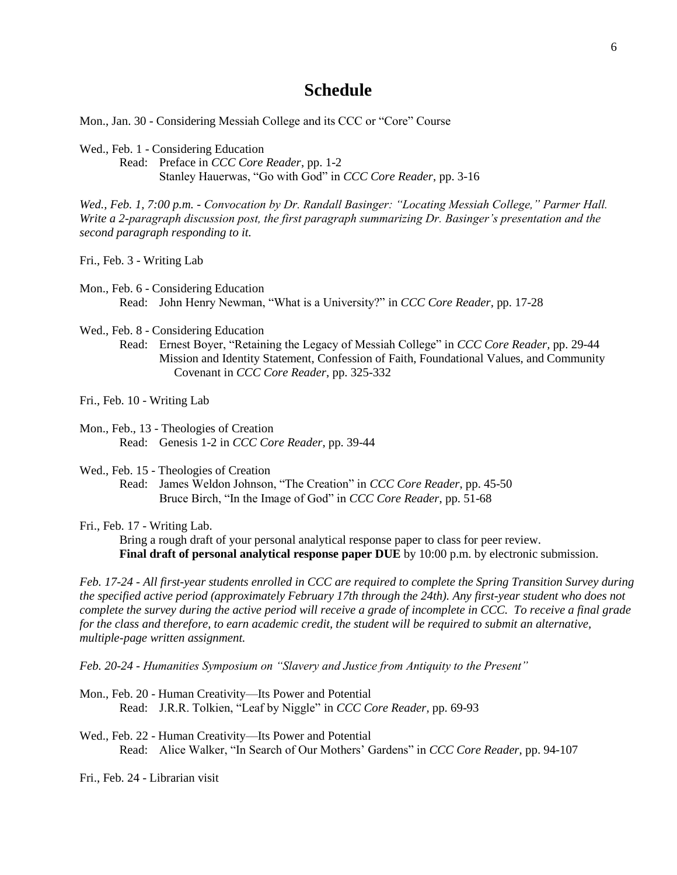### **Schedule**

Mon., Jan. 30 - Considering Messiah College and its CCC or "Core" Course

Wed., Feb. 1 - Considering Education

Read: Preface in *CCC Core Reader*, pp. 1-2 Stanley Hauerwas, "Go with God" in *CCC Core Reader*, pp. 3-16

*Wed., Feb. 1, 7:00 p.m. - Convocation by Dr. Randall Basinger: "Locating Messiah College," Parmer Hall. Write a 2-paragraph discussion post, the first paragraph summarizing Dr. Basinger's presentation and the second paragraph responding to it.*

Fri., Feb. 3 - Writing Lab

Mon., Feb. 6 - Considering Education Read: John Henry Newman, "What is a University?" in *CCC Core Reader,* pp. 17-28

Wed., Feb. 8 - Considering Education

Read: Ernest Boyer, "Retaining the Legacy of Messiah College" in *CCC Core Reader,* pp. 29-44 Mission and Identity Statement, Confession of Faith, Foundational Values, and Community Covenant in *CCC Core Reader*, pp. 325-332

Fri., Feb. 10 - Writing Lab

- Mon., Feb., 13 Theologies of Creation Read: Genesis 1-2 in *CCC Core Reader*, pp. 39-44
- Wed., Feb. 15 Theologies of Creation
	- Read: James Weldon Johnson, "The Creation" in *CCC Core Reader*, pp. 45-50 Bruce Birch, "In the Image of God" in *CCC Core Reader*, pp. 51-68
- Fri., Feb. 17 Writing Lab.

Bring a rough draft of your personal analytical response paper to class for peer review. **Final draft of personal analytical response paper DUE** by 10:00 p.m. by electronic submission.

*Feb. 17-24 - All first-year students enrolled in CCC are required to complete the Spring Transition Survey during the specified active period (approximately February 17th through the 24th). Any first-year student who does not complete the survey during the active period will receive a grade of incomplete in CCC. To receive a final grade for the class and therefore, to earn academic credit, the student will be required to submit an alternative, multiple-page written assignment.*

*Feb. 20-24 - Humanities Symposium on "Slavery and Justice from Antiquity to the Present"*

Mon., Feb. 20 - Human Creativity—Its Power and Potential Read: J.R.R. Tolkien, "Leaf by Niggle" in *CCC Core Reader,* pp. 69-93

Wed., Feb. 22 - Human Creativity—Its Power and Potential Read: Alice Walker, "In Search of Our Mothers' Gardens" in *CCC Core Reader*, pp. 94-107

Fri., Feb. 24 - Librarian visit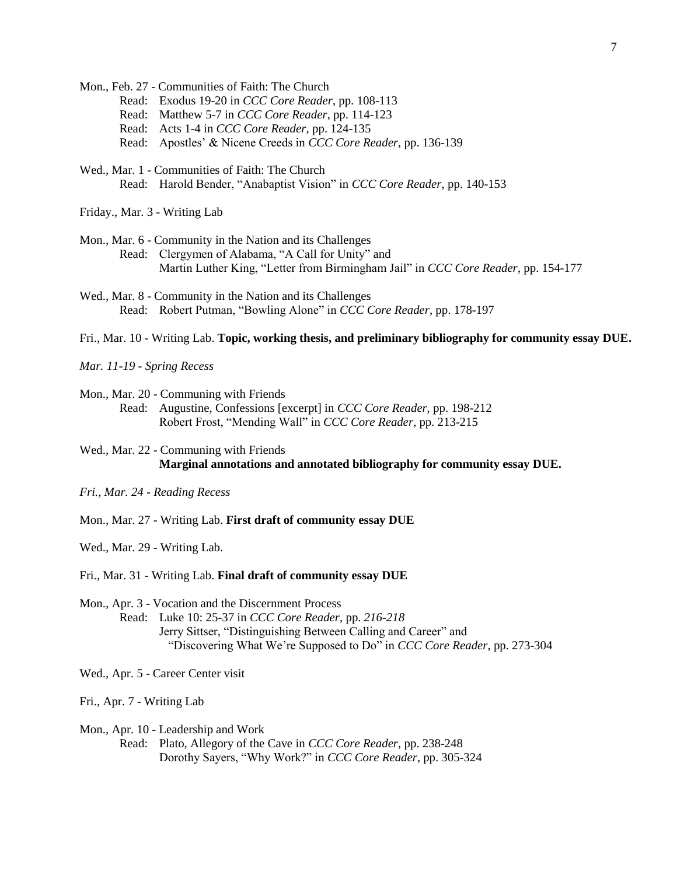Mon., Feb. 27 - Communities of Faith: The Church

- Read: Exodus 19-20 in *CCC Core Reader*, pp. 108-113
- Read: Matthew 5-7 in *CCC Core Reader*, pp. 114-123
- Read: Acts 1-4 in *CCC Core Reader*, pp. 124-135
- Read: Apostles' & Nicene Creeds in *CCC Core Reader*, pp. 136-139
- Wed., Mar. 1 Communities of Faith: The Church Read: Harold Bender, "Anabaptist Vision" in *CCC Core Reader*, pp. 140-153

Friday., Mar. 3 - Writing Lab

- Mon., Mar. 6 Community in the Nation and its Challenges Read: Clergymen of Alabama, "A Call for Unity" and Martin Luther King, "Letter from Birmingham Jail" in *CCC Core Reader*, pp. 154-177
- Wed., Mar. 8 Community in the Nation and its Challenges Read: Robert Putman, "Bowling Alone" in *CCC Core Reader*, pp. 178-197

Fri., Mar. 10 - Writing Lab. **Topic, working thesis, and preliminary bibliography for community essay DUE.**

*Mar. 11-19 - Spring Recess* 

Mon., Mar. 20 - Communing with Friends Read: Augustine, Confessions [excerpt] in *CCC Core Reader*, pp. 198-212 Robert Frost, "Mending Wall" in *CCC Core Reader*, pp. 213-215

Wed., Mar. 22 - Communing with Friends **Marginal annotations and annotated bibliography for community essay DUE.**

*Fri., Mar. 24 - Reading Recess*

Mon., Mar. 27 - Writing Lab. **First draft of community essay DUE**

Wed., Mar. 29 - Writing Lab.

Fri., Mar. 31 - Writing Lab. **Final draft of community essay DUE**

Mon., Apr. 3 - Vocation and the Discernment Process

Read: Luke 10: 25-37 in *CCC Core Reader*, pp. *216-218* Jerry Sittser, "Distinguishing Between Calling and Career" and "Discovering What We're Supposed to Do" in *CCC Core Reader*, pp. 273-304

Wed., Apr. 5 - Career Center visit

Fri., Apr. 7 - Writing Lab

Mon., Apr. 10 - Leadership and Work

Read: Plato, Allegory of the Cave in *CCC Core Reader*, pp. 238-248 Dorothy Sayers, "Why Work?" in *CCC Core Reader*, pp. 305-324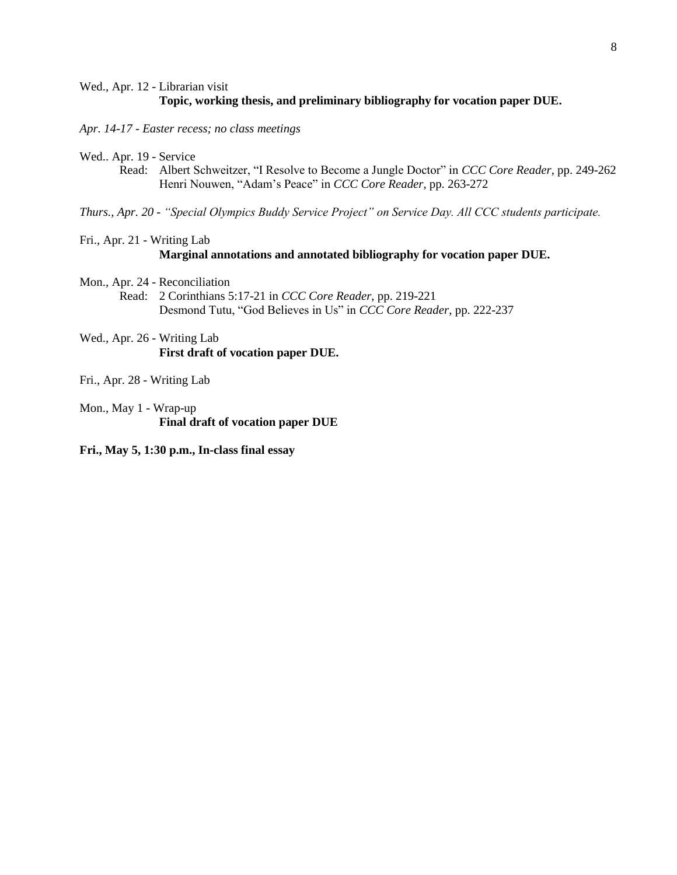#### Wed., Apr. 12 - Librarian visit **Topic, working thesis, and preliminary bibliography for vocation paper DUE.**

*Apr. 14-17 - Easter recess; no class meetings*

Wed.. Apr. 19 - Service

Read: Albert Schweitzer, "I Resolve to Become a Jungle Doctor" in *CCC Core Reader*, pp. 249-262 Henri Nouwen, "Adam's Peace" in *CCC Core Reader*, pp. 263-272

*Thurs., Apr. 20 - "Special Olympics Buddy Service Project" on Service Day. All CCC students participate.*

Fri., Apr. 21 - Writing Lab

**Marginal annotations and annotated bibliography for vocation paper DUE.**

Mon., Apr. 24 - Reconciliation

Read: 2 Corinthians 5:17-21 in *CCC Core Reader*, pp. 219-221 Desmond Tutu, "God Believes in Us" in *CCC Core Reader*, pp. 222-237

Wed., Apr. 26 - Writing Lab **First draft of vocation paper DUE.**

Fri., Apr. 28 - Writing Lab

Mon., May 1 - Wrap-up **Final draft of vocation paper DUE**

**Fri., May 5, 1:30 p.m., In-class final essay**